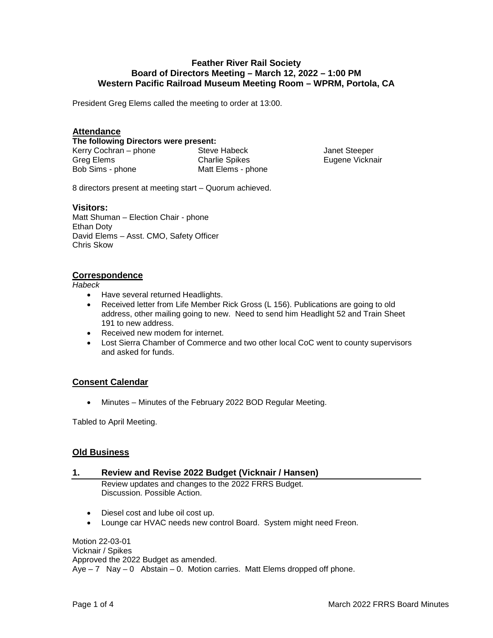# **Feather River Rail Society Board of Directors Meeting – March 12, 2022 – 1:00 PM Western Pacific Railroad Museum Meeting Room – WPRM, Portola, CA**

President Greg Elems called the meeting to order at 13:00.

# **Attendance**

**The following Directors were present:** 

Greg Elems Bob Sims - phone

Kerry Cochran – phone Steve Habeck Charlie Spikes Matt Elems - phone

Janet Steeper Eugene Vicknair

8 directors present at meeting start – Quorum achieved.

#### **Visitors:**

Matt Shuman – Election Chair - phone Ethan Doty David Elems – Asst. CMO, Safety Officer Chris Skow

# **Correspondence**

*Habeck*

- Have several returned Headlights.
- Received letter from Life Member Rick Gross (L 156). Publications are going to old address, other mailing going to new. Need to send him Headlight 52 and Train Sheet 191 to new address.
- Received new modem for internet.
- Lost Sierra Chamber of Commerce and two other local CoC went to county supervisors and asked for funds.

# **Consent Calendar**

• Minutes – Minutes of the February 2022 BOD Regular Meeting.

Tabled to April Meeting.

# **Old Business**

# **1. Review and Revise 2022 Budget (Vicknair / Hansen)**

Review updates and changes to the 2022 FRRS Budget. Discussion. Possible Action.

- Diesel cost and lube oil cost up.
- Lounge car HVAC needs new control Board. System might need Freon.

Motion 22-03-01 Vicknair / Spikes Approved the 2022 Budget as amended.  $Aye - 7$  Nay  $-0$  Abstain  $-0$ . Motion carries. Matt Elems dropped off phone.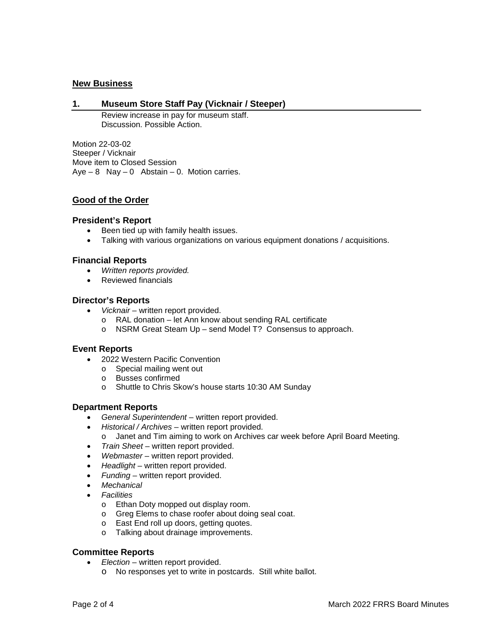# **New Business**

### **1. Museum Store Staff Pay (Vicknair / Steeper)**

Review increase in pay for museum staff. Discussion. Possible Action.

Motion 22-03-02 Steeper / Vicknair Move item to Closed Session  $Aye - 8$  Nay  $-0$  Abstain  $-0$ . Motion carries.

# **Good of the Order**

#### **President's Report**

- Been tied up with family health issues.
- Talking with various organizations on various equipment donations / acquisitions.

#### **Financial Reports**

- *Written reports provided.*
- Reviewed financials

#### **Director's Reports**

- *Vicknair* written report provided.
	- o RAL donation let Ann know about sending RAL certificate
	- o NSRM Great Steam Up send Model T? Consensus to approach.

#### **Event Reports**

- 2022 Western Pacific Convention
	- o Special mailing went out
	- o Busses confirmed
	- o Shuttle to Chris Skow's house starts 10:30 AM Sunday

# **Department Reports**

- *General Superintendent* written report provided.
- *Historical / Archives* written report provided.
- o Janet and Tim aiming to work on Archives car week before April Board Meeting.
- *Train Sheet* written report provided.
- *Webmaster* written report provided.
- *Headlight* written report provided.
- *Funding*  written report provided.
- *Mechanical*
- *Facilities*
	- o Ethan Doty mopped out display room.
	- o Greg Elems to chase roofer about doing seal coat.
	- o East End roll up doors, getting quotes.
	- o Talking about drainage improvements.

# **Committee Reports**

- *Election* written report provided.
	- o No responses yet to write in postcards. Still white ballot.